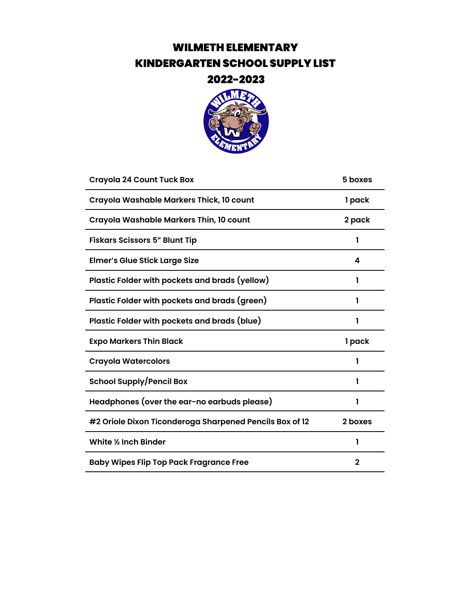### WILMETH ELEMENTARY KINDERGARTEN SCHOOL SUPPLY LIST



| <b>Crayola 24 Count Tuck Box</b>                        | 5 boxes     |
|---------------------------------------------------------|-------------|
| Crayola Washable Markers Thick, 10 count                | 1 pack      |
| Crayola Washable Markers Thin, 10 count                 | 2 pack      |
| <b>Fiskars Scissors 5" Blunt Tip</b>                    | 1           |
| <b>Elmer's Glue Stick Large Size</b>                    | 4           |
| Plastic Folder with pockets and brads (yellow)          | 1           |
| Plastic Folder with pockets and brads (green)           | 1           |
| Plastic Folder with pockets and brads (blue)            | 1           |
| <b>Expo Markers Thin Black</b>                          | 1 pack      |
| <b>Crayola Watercolors</b>                              | ı           |
| <b>School Supply/Pencil Box</b>                         | 1           |
| Headphones (over the ear-no earbuds please)             |             |
| #2 Oriole Dixon Ticonderoga Sharpened Pencils Box of 12 | 2 boxes     |
| White 1/2 Inch Binder                                   | ı           |
| <b>Baby Wipes Flip Top Pack Fragrance Free</b>          | $\mathbf 2$ |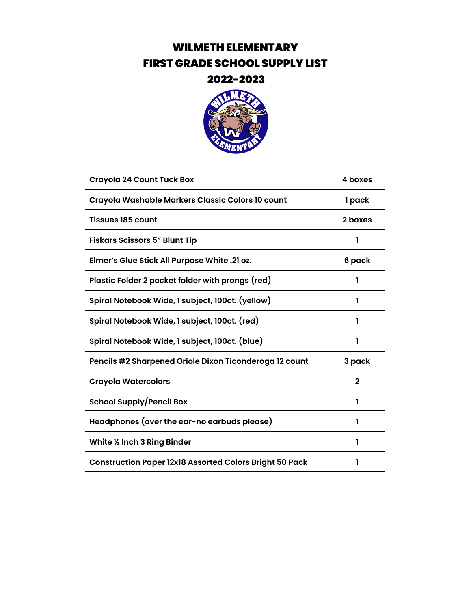## WILMETH ELEMENTARY FIRST GRADE SCHOOL SUPPLY LIST



| 4 boxes     |
|-------------|
| 1 pack      |
| 2 boxes     |
| ı           |
| 6 pack      |
| 1           |
|             |
| 1           |
| 1           |
| 3 pack      |
| $\mathbf 2$ |
|             |
| 1           |
|             |
| 1           |
|             |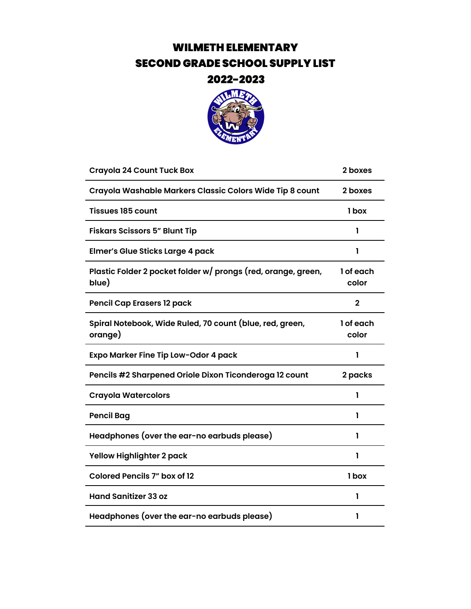## WILMETH ELEMENTARY SECOND GRADE SCHOOL SUPPLY LIST



| <b>Crayola 24 Count Tuck Box</b>                                       | 2 boxes            |
|------------------------------------------------------------------------|--------------------|
| Crayola Washable Markers Classic Colors Wide Tip 8 count               | 2 boxes            |
| <b>Tissues 185 count</b>                                               | 1 box              |
| <b>Fiskars Scissors 5" Blunt Tip</b>                                   | 1                  |
| <b>Elmer's Glue Sticks Large 4 pack</b>                                | 1                  |
| Plastic Folder 2 pocket folder w/ prongs (red, orange, green,<br>blue) | 1 of each<br>color |
| <b>Pencil Cap Erasers 12 pack</b>                                      | $\mathbf{2}$       |
| Spiral Notebook, Wide Ruled, 70 count (blue, red, green,<br>orange)    | 1 of each<br>color |
| Expo Marker Fine Tip Low-Odor 4 pack                                   | 1                  |
| Pencils #2 Sharpened Oriole Dixon Ticonderoga 12 count                 | 2 packs            |
| <b>Crayola Watercolors</b>                                             | 1                  |
| <b>Pencil Bag</b>                                                      | 1                  |
| Headphones (over the ear-no earbuds please)                            | 1                  |
| <b>Yellow Highlighter 2 pack</b>                                       | 1                  |
| <b>Colored Pencils 7" box of 12</b>                                    | 1 box              |
| <b>Hand Sanitizer 33 oz</b>                                            | 1                  |
| Headphones (over the ear-no earbuds please)                            | 1                  |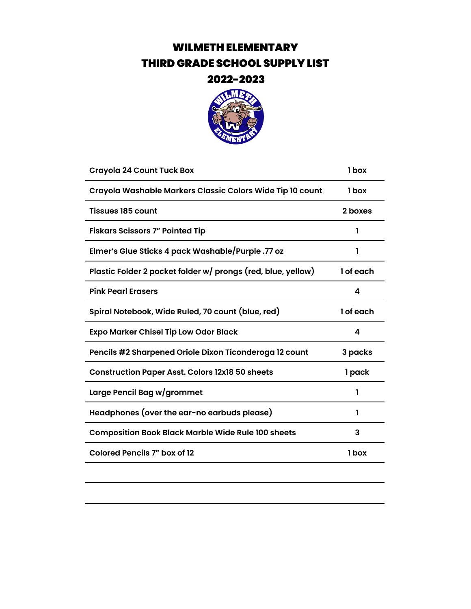# WILMETH ELEMENTARY THIRD GRADE SCHOOL SUPPLY LIST



| 1 box     |
|-----------|
| 1 box     |
| 2 boxes   |
| 1         |
|           |
| 1 of each |
| 4         |
| 1 of each |
| 4         |
| 3 packs   |
| 1 pack    |
| 1         |
| ı         |
| 3         |
| 1 box     |
|           |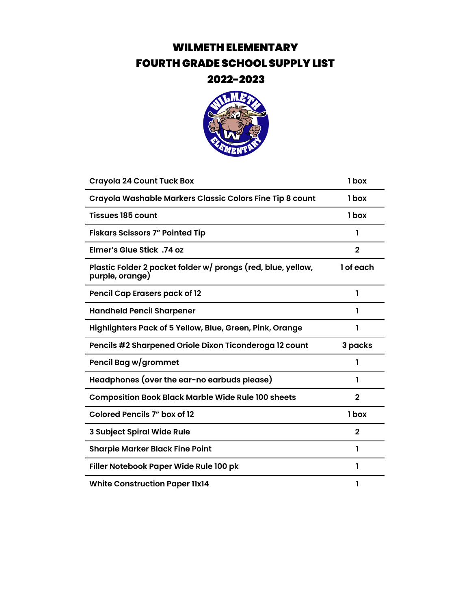# WILMETH ELEMENTARY FOURTH GRADE SCHOOL SUPPLY LIST



| <b>Crayola 24 Count Tuck Box</b>                                                | 1 box          |
|---------------------------------------------------------------------------------|----------------|
| Crayola Washable Markers Classic Colors Fine Tip 8 count                        | 1 box          |
| <b>Tissues 185 count</b>                                                        | 1 box          |
| <b>Fiskars Scissors 7" Pointed Tip</b>                                          | 1              |
| Elmer's Glue Stick .74 oz                                                       | $\overline{2}$ |
| Plastic Folder 2 pocket folder w/ prongs (red, blue, yellow,<br>purple, orange) | 1 of each      |
| <b>Pencil Cap Erasers pack of 12</b>                                            | 1              |
| <b>Handheld Pencil Sharpener</b>                                                | 1              |
| Highlighters Pack of 5 Yellow, Blue, Green, Pink, Orange                        | 1              |
| Pencils #2 Sharpened Oriole Dixon Ticonderoga 12 count                          | 3 packs        |
| Pencil Bag w/grommet                                                            | 1              |
| Headphones (over the ear-no earbuds please)                                     | ı              |
| <b>Composition Book Black Marble Wide Rule 100 sheets</b>                       | $\mathbf{2}$   |
| <b>Colored Pencils 7" box of 12</b>                                             | 1 box          |
| 3 Subject Spiral Wide Rule                                                      | 2              |
| <b>Sharpie Marker Black Fine Point</b>                                          | 1              |
| Filler Notebook Paper Wide Rule 100 pk                                          | 1              |
| <b>White Construction Paper 11x14</b>                                           | 1              |